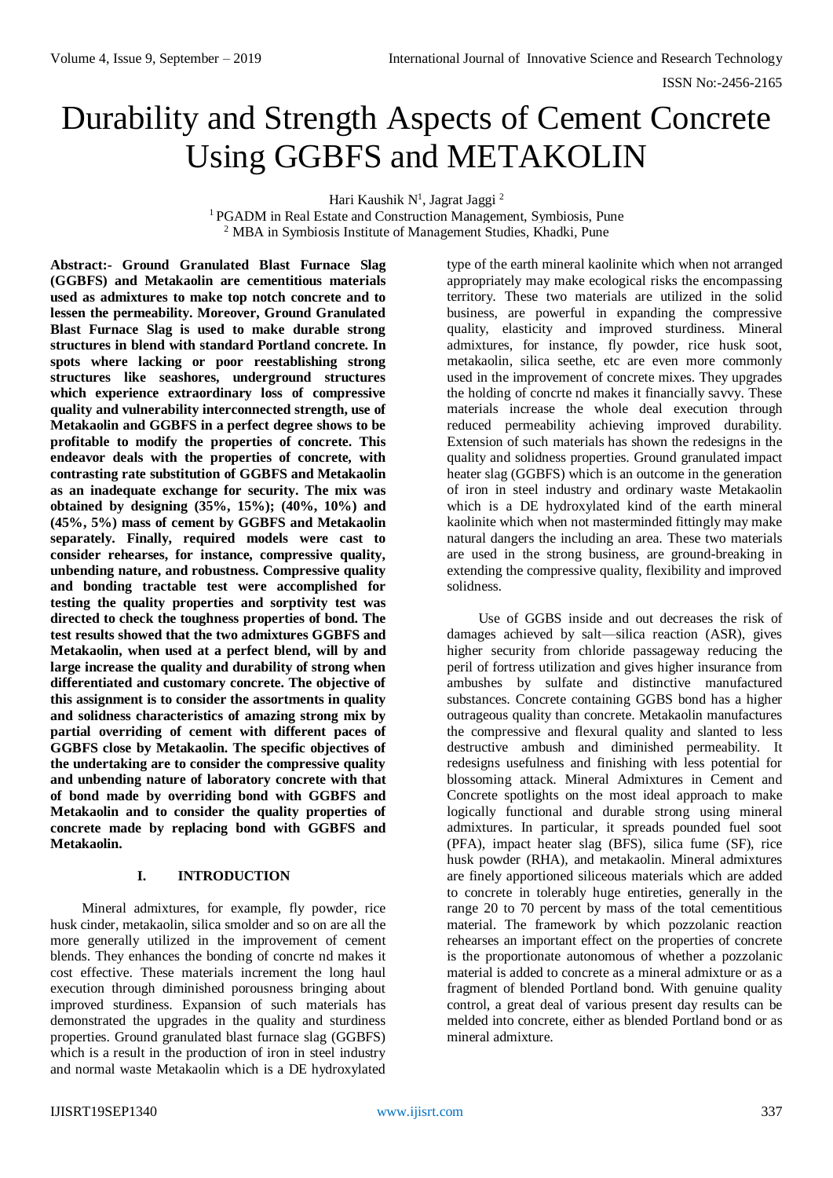# Durability and Strength Aspects of Cement Concrete Using GGBFS and METAKOLIN

Hari Kaushik N<sup>1</sup>, Jagrat Jaggi<sup>2</sup>

<sup>1</sup> PGADM in Real Estate and Construction Management, Symbiosis, Pune <sup>2</sup> MBA in Symbiosis Institute of Management Studies, Khadki, Pune

**Abstract:- Ground Granulated Blast Furnace Slag (GGBFS) and Metakaolin are cementitious materials used as admixtures to make top notch concrete and to lessen the permeability. Moreover, Ground Granulated Blast Furnace Slag is used to make durable strong structures in blend with standard Portland concrete. In spots where lacking or poor reestablishing strong structures like seashores, underground structures which experience extraordinary loss of compressive quality and vulnerability interconnected strength, use of Metakaolin and GGBFS in a perfect degree shows to be profitable to modify the properties of concrete. This endeavor deals with the properties of concrete, with contrasting rate substitution of GGBFS and Metakaolin as an inadequate exchange for security. The mix was obtained by designing (35%, 15%); (40%, 10%) and (45%, 5%) mass of cement by GGBFS and Metakaolin separately. Finally, required models were cast to consider rehearses, for instance, compressive quality, unbending nature, and robustness. Compressive quality and bonding tractable test were accomplished for testing the quality properties and sorptivity test was directed to check the toughness properties of bond. The test results showed that the two admixtures GGBFS and Metakaolin, when used at a perfect blend, will by and large increase the quality and durability of strong when differentiated and customary concrete. The objective of this assignment is to consider the assortments in quality and solidness characteristics of amazing strong mix by partial overriding of cement with different paces of GGBFS close by Metakaolin. The specific objectives of the undertaking are to consider the compressive quality and unbending nature of laboratory concrete with that of bond made by overriding bond with GGBFS and Metakaolin and to consider the quality properties of concrete made by replacing bond with GGBFS and Metakaolin.**

#### **I. INTRODUCTION**

Mineral admixtures, for example, fly powder, rice husk cinder, metakaolin, silica smolder and so on are all the more generally utilized in the improvement of cement blends. They enhances the bonding of concrte nd makes it cost effective. These materials increment the long haul execution through diminished porousness bringing about improved sturdiness. Expansion of such materials has demonstrated the upgrades in the quality and sturdiness properties. Ground granulated blast furnace slag (GGBFS) which is a result in the production of iron in steel industry and normal waste Metakaolin which is a DE hydroxylated

type of the earth mineral kaolinite which when not arranged appropriately may make ecological risks the encompassing territory. These two materials are utilized in the solid business, are powerful in expanding the compressive quality, elasticity and improved sturdiness. Mineral admixtures, for instance, fly powder, rice husk soot, metakaolin, silica seethe, etc are even more commonly used in the improvement of concrete mixes. They upgrades the holding of concrte nd makes it financially savvy. These materials increase the whole deal execution through reduced permeability achieving improved durability. Extension of such materials has shown the redesigns in the quality and solidness properties. Ground granulated impact heater slag (GGBFS) which is an outcome in the generation of iron in steel industry and ordinary waste Metakaolin which is a DE hydroxylated kind of the earth mineral kaolinite which when not masterminded fittingly may make natural dangers the including an area. These two materials are used in the strong business, are ground-breaking in extending the compressive quality, flexibility and improved solidness.

Use of GGBS inside and out decreases the risk of damages achieved by salt—silica reaction (ASR), gives higher security from chloride passageway reducing the peril of fortress utilization and gives higher insurance from ambushes by sulfate and distinctive manufactured substances. Concrete containing GGBS bond has a higher outrageous quality than concrete. Metakaolin manufactures the compressive and flexural quality and slanted to less destructive ambush and diminished permeability. It redesigns usefulness and finishing with less potential for blossoming attack. Mineral Admixtures in Cement and Concrete spotlights on the most ideal approach to make logically functional and durable strong using mineral admixtures. In particular, it spreads pounded fuel soot (PFA), impact heater slag (BFS), silica fume (SF), rice husk powder (RHA), and metakaolin. Mineral admixtures are finely apportioned siliceous materials which are added to concrete in tolerably huge entireties, generally in the range 20 to 70 percent by mass of the total cementitious material. The framework by which pozzolanic reaction rehearses an important effect on the properties of concrete is the proportionate autonomous of whether a pozzolanic material is added to concrete as a mineral admixture or as a fragment of blended Portland bond. With genuine quality control, a great deal of various present day results can be melded into concrete, either as blended Portland bond or as mineral admixture.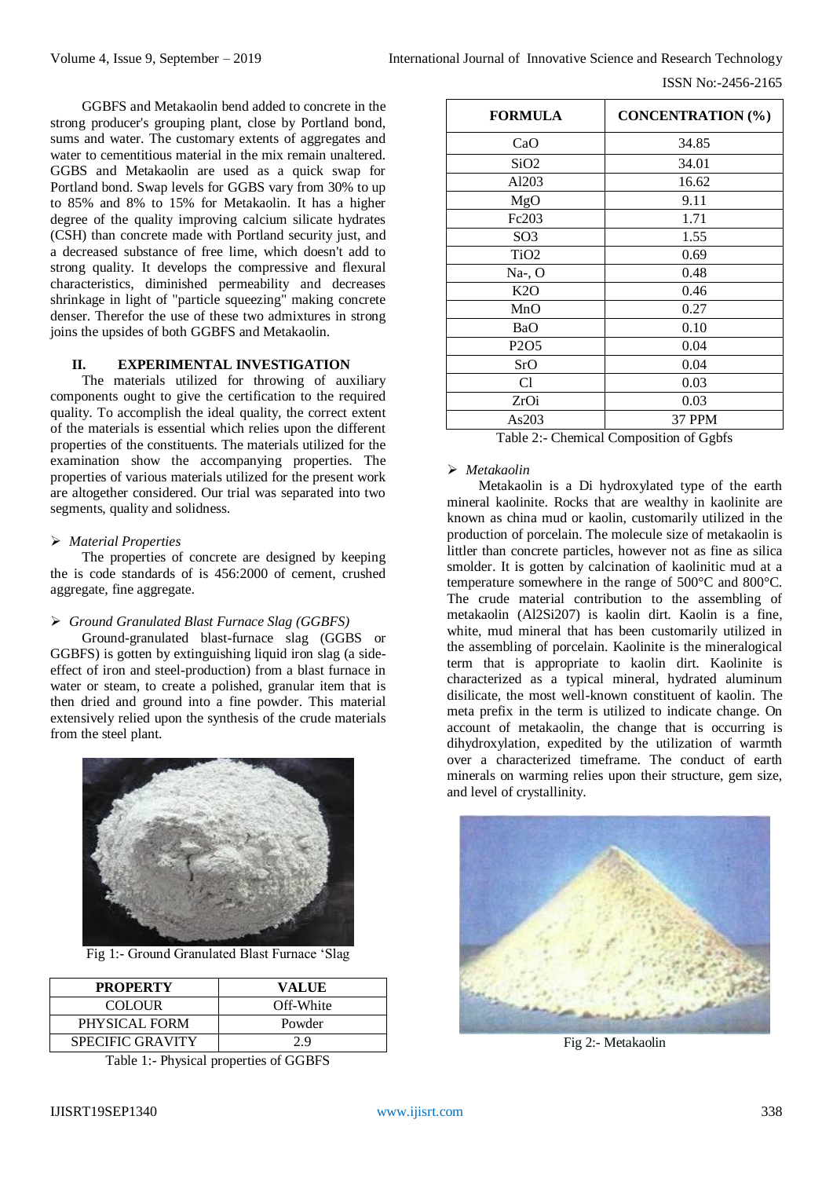ISSN No:-2456-2165

GGBFS and Metakaolin bend added to concrete in the strong producer's grouping plant, close by Portland bond, sums and water. The customary extents of aggregates and water to cementitious material in the mix remain unaltered. GGBS and Metakaolin are used as a quick swap for Portland bond. Swap levels for GGBS vary from 30% to up to 85% and 8% to 15% for Metakaolin. It has a higher degree of the quality improving calcium silicate hydrates (CSH) than concrete made with Portland security just, and a decreased substance of free lime, which doesn't add to strong quality. It develops the compressive and flexural characteristics, diminished permeability and decreases shrinkage in light of "particle squeezing" making concrete denser. Therefor the use of these two admixtures in strong joins the upsides of both GGBFS and Metakaolin.

# **II. EXPERIMENTAL INVESTIGATION**

The materials utilized for throwing of auxiliary components ought to give the certification to the required quality. To accomplish the ideal quality, the correct extent of the materials is essential which relies upon the different properties of the constituents. The materials utilized for the examination show the accompanying properties. The properties of various materials utilized for the present work are altogether considered. Our trial was separated into two segments, quality and solidness.

# *Material Properties*

The properties of concrete are designed by keeping the is code standards of is 456:2000 of cement, crushed aggregate, fine aggregate.

#### *Ground Granulated Blast Furnace Slag (GGBFS)*

Ground-granulated blast-furnace slag (GGBS or GGBFS) is gotten by extinguishing liquid iron slag (a sideeffect of iron and steel-production) from a blast furnace in water or steam, to create a polished, granular item that is then dried and ground into a fine powder. This material extensively relied upon the synthesis of the crude materials from the steel plant.



Fig 1:- Ground Granulated Blast Furnace 'Slag

| <b>PROPERTY</b>         | VALUE     |
|-------------------------|-----------|
| COLOUR.                 | Off-White |
| PHYSICAL FORM           | Powder    |
| <b>SPECIFIC GRAVITY</b> | 29        |

Table 1:- Physical properties of GGBFS

| <b>FORMULA</b>                | <b>CONCENTRATION (%)</b> |
|-------------------------------|--------------------------|
| CaO                           | 34.85                    |
| SiO <sub>2</sub>              | 34.01                    |
| Al203                         | 16.62                    |
| MgO                           | 9.11                     |
| Fc203                         | 1.71                     |
| SO <sub>3</sub>               | 1.55                     |
| TiO <sub>2</sub>              | 0.69                     |
| $Na-, O$                      | 0.48                     |
| K2O                           | 0.46                     |
| MnO                           | 0.27                     |
| BaO                           | 0.10                     |
| P <sub>2</sub> O <sub>5</sub> | 0.04                     |
| SrO                           | 0.04                     |
| C <sub>1</sub>                | 0.03                     |
| ZrOi                          | 0.03                     |
| As203                         | 37 PPM                   |

Table 2:- Chemical Composition of Ggbfs

#### *Metakaolin*

Metakaolin is a Di hydroxylated type of the earth mineral kaolinite. Rocks that are wealthy in kaolinite are known as china mud or kaolin, customarily utilized in the production of porcelain. The molecule size of metakaolin is littler than concrete particles, however not as fine as silica smolder. It is gotten by calcination of kaolinitic mud at a temperature somewhere in the range of 500°C and 800°C. The crude material contribution to the assembling of metakaolin (Al2Si207) is kaolin dirt. Kaolin is a fine, white, mud mineral that has been customarily utilized in the assembling of porcelain. Kaolinite is the mineralogical term that is appropriate to kaolin dirt. Kaolinite is characterized as a typical mineral, hydrated aluminum disilicate, the most well-known constituent of kaolin. The meta prefix in the term is utilized to indicate change. On account of metakaolin, the change that is occurring is dihydroxylation, expedited by the utilization of warmth over a characterized timeframe. The conduct of earth minerals on warming relies upon their structure, gem size, and level of crystallinity.



Fig 2:- Metakaolin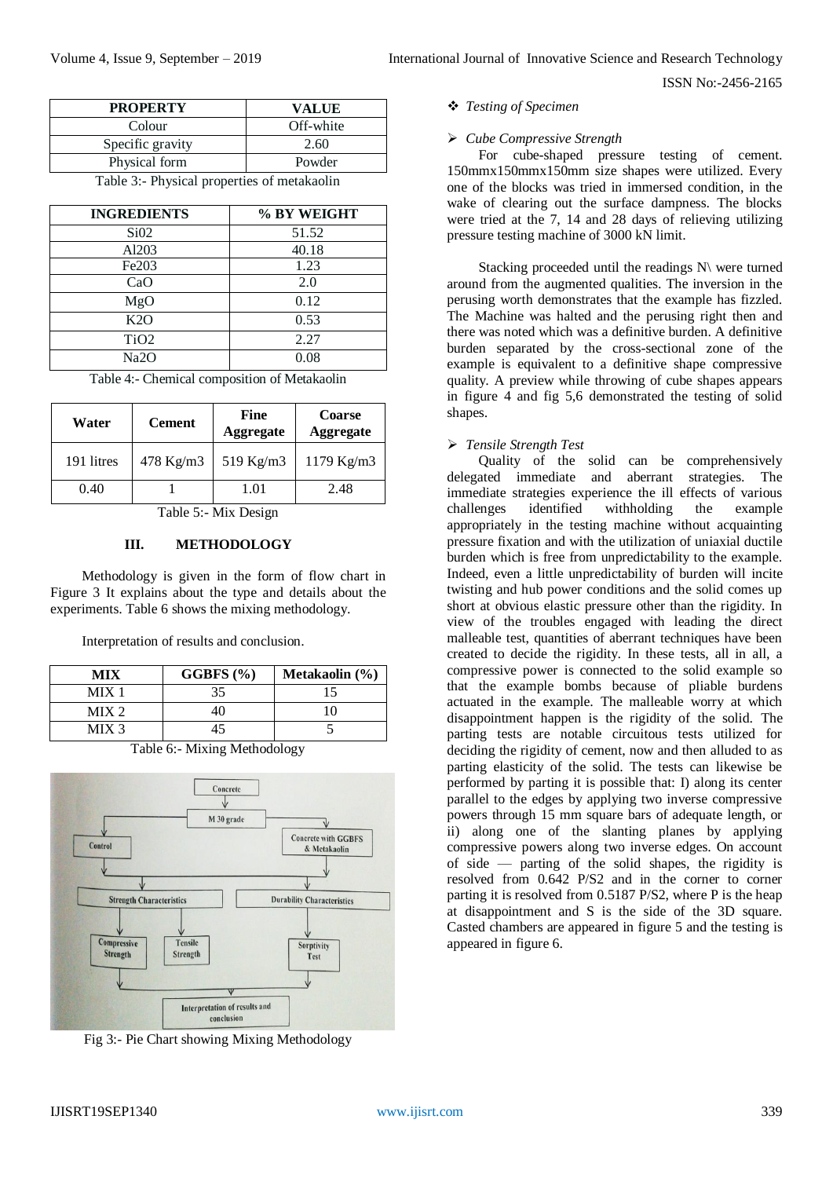| <b>PROPERTY</b>  | VALUE     |
|------------------|-----------|
| Colour           | Off-white |
| Specific gravity | 2.60      |
| Physical form    | Powder    |
|                  |           |

Table 3:- Physical properties of metakaolin

| <b>INGREDIENTS</b> | % BY WEIGHT |
|--------------------|-------------|
| SiO2               | 51.52       |
| Al203              | 40.18       |
| Fe203              | 1.23        |
| CaO                | 2.0         |
| MgO                | 0.12        |
| K2O                | 0.53        |
| TiO <sub>2</sub>   | 2.27        |
| Na2O               | 0.08        |

Table 4:- Chemical composition of Metakaolin

| Water      | <b>Cement</b> | <b>Fine</b><br><b>Aggregate</b> | <b>Coarse</b><br><b>Aggregate</b> |
|------------|---------------|---------------------------------|-----------------------------------|
| 191 litres | 478 Kg/m3     | 519 Kg/m3                       | 1179 Kg/m3                        |
| 0.40       |               | 1.01                            | 2.48                              |

Table 5:- Mix Design

#### **III. METHODOLOGY**

Methodology is given in the form of flow chart in Figure 3 It explains about the type and details about the experiments. Table 6 shows the mixing methodology.

Interpretation of results and conclusion.

| MIX              | GGBFS $(\% )$ | Metakaolin $(\% )$ |
|------------------|---------------|--------------------|
| MIX <sub>1</sub> |               |                    |
| $MIX$ 2.         |               |                    |
| MIX 3            |               |                    |



Fig 3:- Pie Chart showing Mixing Methodology

#### *Testing of Specimen*

#### *Cube Compressive Strength*

For cube-shaped pressure testing of cement. 150mmx150mmx150mm size shapes were utilized. Every one of the blocks was tried in immersed condition, in the wake of clearing out the surface dampness. The blocks were tried at the 7, 14 and 28 days of relieving utilizing pressure testing machine of 3000 kN limit.

Stacking proceeded until the readings N\ were turned around from the augmented qualities. The inversion in the perusing worth demonstrates that the example has fizzled. The Machine was halted and the perusing right then and there was noted which was a definitive burden. A definitive burden separated by the cross-sectional zone of the example is equivalent to a definitive shape compressive quality. A preview while throwing of cube shapes appears in figure 4 and fig 5,6 demonstrated the testing of solid shapes.

#### *Tensile Strength Test*

Quality of the solid can be comprehensively delegated immediate and aberrant strategies. The immediate strategies experience the ill effects of various challenges identified withholding the example appropriately in the testing machine without acquainting pressure fixation and with the utilization of uniaxial ductile burden which is free from unpredictability to the example. Indeed, even a little unpredictability of burden will incite twisting and hub power conditions and the solid comes up short at obvious elastic pressure other than the rigidity. In view of the troubles engaged with leading the direct malleable test, quantities of aberrant techniques have been created to decide the rigidity. In these tests, all in all, a compressive power is connected to the solid example so that the example bombs because of pliable burdens actuated in the example. The malleable worry at which disappointment happen is the rigidity of the solid. The parting tests are notable circuitous tests utilized for deciding the rigidity of cement, now and then alluded to as parting elasticity of the solid. The tests can likewise be performed by parting it is possible that: I) along its center parallel to the edges by applying two inverse compressive powers through 15 mm square bars of adequate length, or ii) along one of the slanting planes by applying compressive powers along two inverse edges. On account of side — parting of the solid shapes, the rigidity is resolved from 0.642 P/S2 and in the corner to corner parting it is resolved from 0.5187 P/S2, where P is the heap at disappointment and S is the side of the 3D square. Casted chambers are appeared in figure 5 and the testing is appeared in figure 6.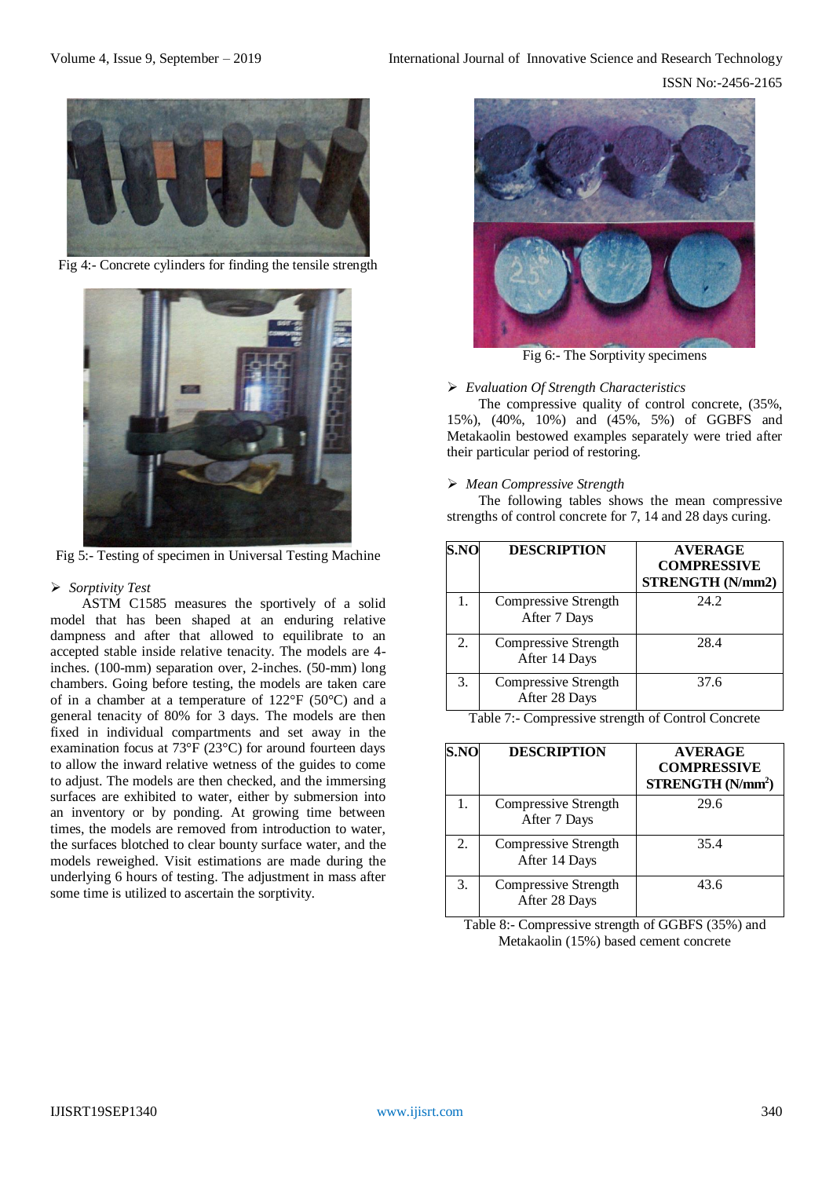

Fig 4:- Concrete cylinders for finding the tensile strength



Fig 5:- Testing of specimen in Universal Testing Machine

### *Sorptivity Test*

ASTM C1585 measures the sportively of a solid model that has been shaped at an enduring relative dampness and after that allowed to equilibrate to an accepted stable inside relative tenacity. The models are 4 inches. (100-mm) separation over, 2-inches. (50-mm) long chambers. Going before testing, the models are taken care of in a chamber at a temperature of 122°F (50°C) and a general tenacity of 80% for 3 days. The models are then fixed in individual compartments and set away in the examination focus at 73°F (23°C) for around fourteen days to allow the inward relative wetness of the guides to come to adjust. The models are then checked, and the immersing surfaces are exhibited to water, either by submersion into an inventory or by ponding. At growing time between times, the models are removed from introduction to water, the surfaces blotched to clear bounty surface water, and the models reweighed. Visit estimations are made during the underlying 6 hours of testing. The adjustment in mass after some time is utilized to ascertain the sorptivity.



Fig 6:- The Sorptivity specimens

#### *Evaluation Of Strength Characteristics*

The compressive quality of control concrete, (35%, 15%), (40%, 10%) and (45%, 5%) of GGBFS and Metakaolin bestowed examples separately were tried after their particular period of restoring.

# *Mean Compressive Strength*

The following tables shows the mean compressive strengths of control concrete for 7, 14 and 28 days curing.

| S.NO | <b>DESCRIPTION</b>                    | <b>AVERAGE</b><br><b>COMPRESSIVE</b><br>STRENGTH (N/mm2) |
|------|---------------------------------------|----------------------------------------------------------|
| 1.   | Compressive Strength<br>After 7 Days  | 24.2                                                     |
| 2.   | Compressive Strength<br>After 14 Days | 28.4                                                     |
| 3.   | Compressive Strength<br>After 28 Days | 37.6                                                     |

Table 7:- Compressive strength of Control Concrete

| 5.NO | <b>DESCRIPTION</b>                    | <b>AVERAGE</b><br><b>COMPRESSIVE</b><br>STRENGTH (N/mm <sup>2</sup> ) |
|------|---------------------------------------|-----------------------------------------------------------------------|
| 1.   | Compressive Strength<br>After 7 Days  | 29.6                                                                  |
| 2.   | Compressive Strength<br>After 14 Days | 35.4                                                                  |
| 3.   | Compressive Strength<br>After 28 Days | 43.6                                                                  |

Table 8:- Compressive strength of GGBFS (35%) and Metakaolin (15%) based cement concrete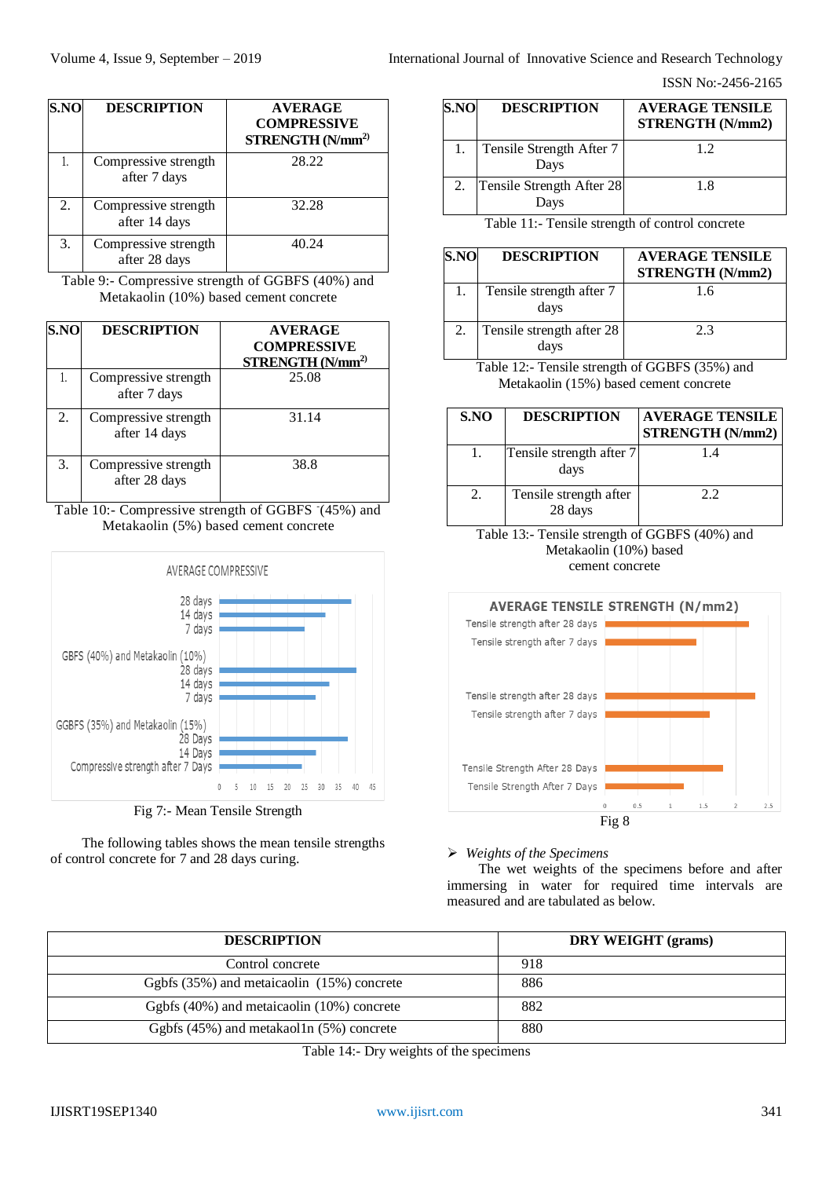| S.NO | <b>DESCRIPTION</b>                    | <b>AVERAGE</b><br><b>COMPRESSIVE</b><br>STRENGTH(Nmm <sup>2</sup> ) |
|------|---------------------------------------|---------------------------------------------------------------------|
|      | Compressive strength<br>after 7 days  | 28.22                                                               |
| 2.   | Compressive strength<br>after 14 days | 32.28                                                               |
| 3.   | Compressive strength<br>after 28 days | 40.24                                                               |

Table 9:- Compressive strength of GGBFS (40%) and Metakaolin (10%) based cement concrete

| S.NO | <b>DESCRIPTION</b>                    | <b>AVERAGE</b><br><b>COMPRESSIVE</b><br>STRENGTH (N/mm <sup>2)</sup> |
|------|---------------------------------------|----------------------------------------------------------------------|
| 1.   | Compressive strength<br>after 7 days  | 25.08                                                                |
| 2.   | Compressive strength<br>after 14 days | 31.14                                                                |
| 3.   | Compressive strength<br>after 28 days | 38.8                                                                 |

Table 10:- Compressive strength of GGBFS (45%) and Metakaolin (5%) based cement concrete





The following tables shows the mean tensile strengths of control concrete for 7 and 28 days curing.

| S.NO | <b>DESCRIPTION</b>                | <b>AVERAGE TENSILE</b><br>STRENGTH (N/mm2) |
|------|-----------------------------------|--------------------------------------------|
|      | Tensile Strength After 7<br>Days  | 1.2                                        |
|      | Tensile Strength After 28<br>Days | 1.8                                        |

Table 11:- Tensile strength of control concrete

| S.NO | <b>DESCRIPTION</b>                | <b>AVERAGE TENSILE</b><br>STRENGTH (N/mm2) |
|------|-----------------------------------|--------------------------------------------|
|      | Tensile strength after 7<br>days  | 1.6                                        |
| 2.   | Tensile strength after 28<br>days | 2.3                                        |

Table 12:- Tensile strength of GGBFS (35%) and Metakaolin (15%) based cement concrete

| S.NO | <b>DESCRIPTION</b>                | <b>AVERAGE TENSILE</b><br><b>STRENGTH (N/mm2)</b> |
|------|-----------------------------------|---------------------------------------------------|
|      | Tensile strength after 7<br>days  | 14                                                |
| 2.   | Tensile strength after<br>28 days | 2.2                                               |

Table 13:- Tensile strength of GGBFS (40%) and Metakaolin (10%) based cement concrete



*Weights of the Specimens*

The wet weights of the specimens before and after immersing in water for required time intervals are measured and are tabulated as below.

| <b>DESCRIPTION</b>                             | DRY WEIGHT (grams) |  |  |
|------------------------------------------------|--------------------|--|--|
| Control concrete                               | 918                |  |  |
| Ggbfs (35%) and metaicaolin (15%) concrete     | 886                |  |  |
| Ggbfs (40%) and metaicaolin (10%) concrete     | 882                |  |  |
| Ggbfs $(45\%)$ and metakaol1n $(5\%)$ concrete | 880                |  |  |

Table 14:- Dry weights of the specimens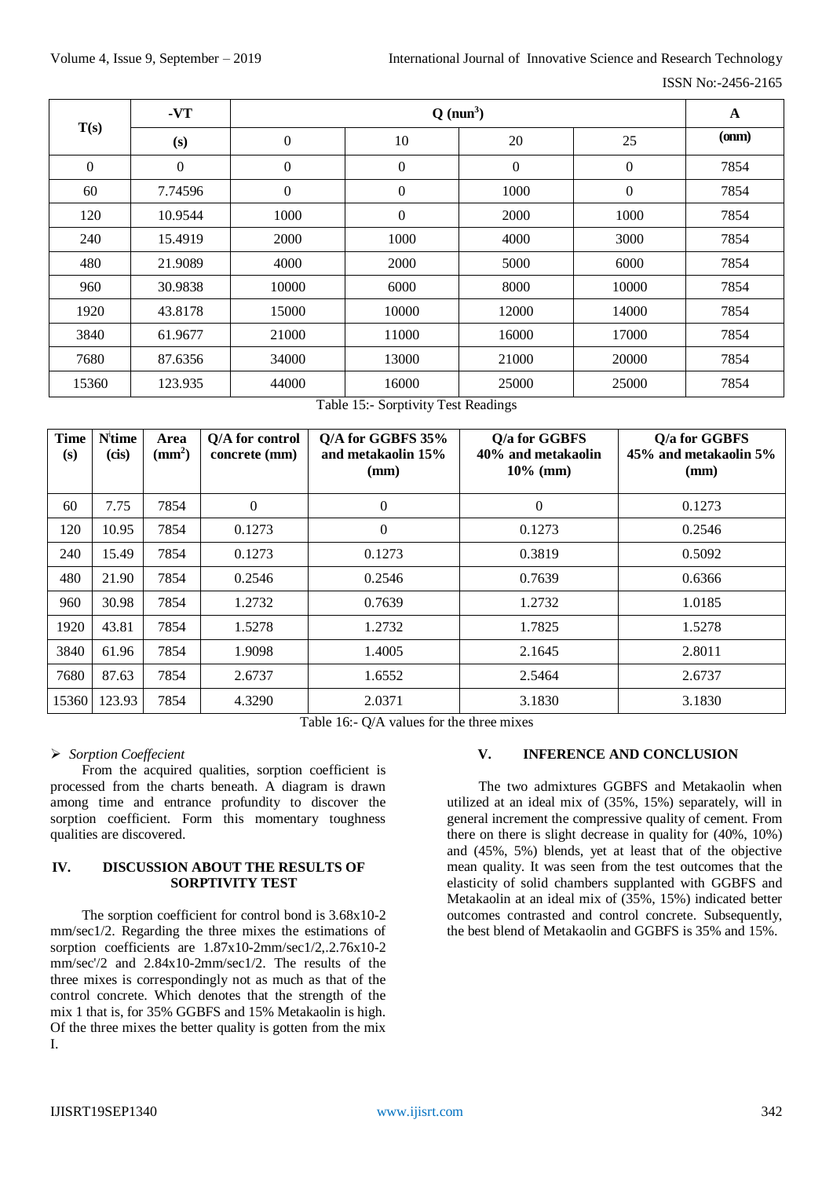ISSN No:-2456-2165

| T(s)     | $-VT$        | $Q$ (nun <sup>3</sup> ) |                  |          | $\mathbf A$  |               |
|----------|--------------|-------------------------|------------------|----------|--------------|---------------|
|          | (s)          | $\boldsymbol{0}$        | 10               | 20       | 25           | ( <b>om</b> ) |
| $\theta$ | $\mathbf{0}$ | $\boldsymbol{0}$        | $\mathbf{0}$     | $\theta$ | $\mathbf{0}$ | 7854          |
| 60       | 7.74596      | $\boldsymbol{0}$        | $\mathbf{0}$     | 1000     | $\mathbf{0}$ | 7854          |
| 120      | 10.9544      | 1000                    | $\boldsymbol{0}$ | 2000     | 1000         | 7854          |
| 240      | 15.4919      | 2000                    | 1000             | 4000     | 3000         | 7854          |
| 480      | 21.9089      | 4000                    | 2000             | 5000     | 6000         | 7854          |
| 960      | 30.9838      | 10000                   | 6000             | 8000     | 10000        | 7854          |
| 1920     | 43.8178      | 15000                   | 10000            | 12000    | 14000        | 7854          |
| 3840     | 61.9677      | 21000                   | 11000            | 16000    | 17000        | 7854          |
| 7680     | 87.6356      | 34000                   | 13000            | 21000    | 20000        | 7854          |
| 15360    | 123.935      | 44000                   | 16000            | 25000    | 25000        | 7854          |

Table 15:- Sorptivity Test Readings

| <b>Time</b><br>(s) | Nitime<br>(cis) | Area<br>(mm <sup>2</sup> ) | Q/A for control<br>concrete (mm) | Q/A for GGBFS 35%<br>and metakaolin 15%<br>(mm) | Q/a for GGBFS<br>40% and metakaolin<br>$10\%$ (mm) | Q/a for GGBFS<br>45% and metakaolin 5%<br>(mm) |
|--------------------|-----------------|----------------------------|----------------------------------|-------------------------------------------------|----------------------------------------------------|------------------------------------------------|
| 60                 | 7.75            | 7854                       | $\Omega$                         | $\overline{0}$                                  | $\Omega$                                           | 0.1273                                         |
| 120                | 10.95           | 7854                       | 0.1273                           | $\overline{0}$                                  | 0.1273                                             | 0.2546                                         |
| 240                | 15.49           | 7854                       | 0.1273                           | 0.1273                                          | 0.3819                                             | 0.5092                                         |
| 480                | 21.90           | 7854                       | 0.2546                           | 0.2546                                          | 0.7639                                             | 0.6366                                         |
| 960                | 30.98           | 7854                       | 1.2732                           | 0.7639                                          | 1.2732                                             | 1.0185                                         |
| 1920               | 43.81           | 7854                       | 1.5278                           | 1.2732                                          | 1.7825                                             | 1.5278                                         |
| 3840               | 61.96           | 7854                       | 1.9098                           | 1.4005                                          | 2.1645                                             | 2.8011                                         |
| 7680               | 87.63           | 7854                       | 2.6737                           | 1.6552                                          | 2.5464                                             | 2.6737                                         |
| 15360              | 123.93          | 7854                       | 4.3290                           | 2.0371                                          | 3.1830                                             | 3.1830                                         |

Table 16:- Q/A values for the three mixes

# *Sorption Coeffecient*

From the acquired qualities, sorption coefficient is processed from the charts beneath. A diagram is drawn among time and entrance profundity to discover the sorption coefficient. Form this momentary toughness qualities are discovered.

# **IV. DISCUSSION ABOUT THE RESULTS OF SORPTIVITY TEST**

The sorption coefficient for control bond is 3.68x10-2 mm/sec1/2. Regarding the three mixes the estimations of sorption coefficients are 1.87x10-2mm/sec1/2,.2.76x10-2 mm/sec'/2 and 2.84x10-2mm/sec1/2. The results of the three mixes is correspondingly not as much as that of the control concrete. Which denotes that the strength of the mix 1 that is, for 35% GGBFS and 15% Metakaolin is high. Of the three mixes the better quality is gotten from the mix I.

# **V. INFERENCE AND CONCLUSION**

The two admixtures GGBFS and Metakaolin when utilized at an ideal mix of (35%, 15%) separately, will in general increment the compressive quality of cement. From there on there is slight decrease in quality for (40%, 10%) and (45%, 5%) blends, yet at least that of the objective mean quality. It was seen from the test outcomes that the elasticity of solid chambers supplanted with GGBFS and Metakaolin at an ideal mix of (35%, 15%) indicated better outcomes contrasted and control concrete. Subsequently, the best blend of Metakaolin and GGBFS is 35% and 15%.